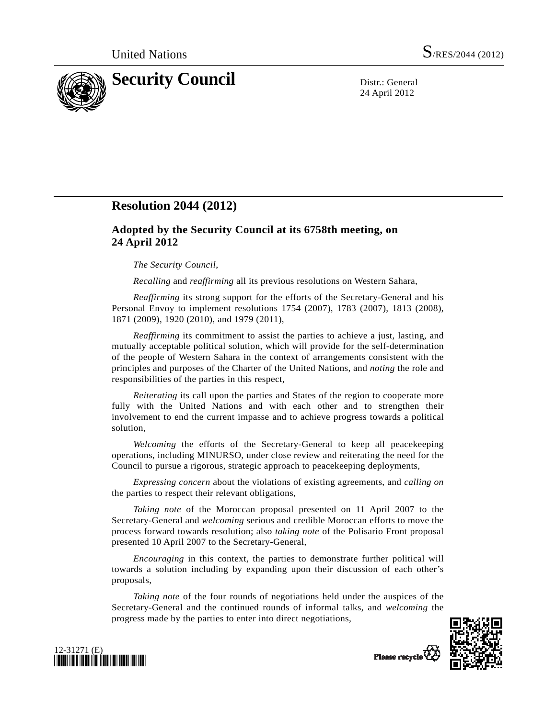

24 April 2012

## **Resolution 2044 (2012)**

## **Adopted by the Security Council at its 6758th meeting, on 24 April 2012**

## *The Security Council*,

*Recalling* and *reaffirming* all its previous resolutions on Western Sahara,

*Reaffirming* its strong support for the efforts of the Secretary-General and his Personal Envoy to implement resolutions 1754 (2007), 1783 (2007), 1813 (2008), 1871 (2009), 1920 (2010), and 1979 (2011),

*Reaffirming* its commitment to assist the parties to achieve a just, lasting, and mutually acceptable political solution, which will provide for the self-determination of the people of Western Sahara in the context of arrangements consistent with the principles and purposes of the Charter of the United Nations, and *noting* the role and responsibilities of the parties in this respect,

*Reiterating* its call upon the parties and States of the region to cooperate more fully with the United Nations and with each other and to strengthen their involvement to end the current impasse and to achieve progress towards a political solution,

*Welcoming* the efforts of the Secretary-General to keep all peacekeeping operations, including MINURSO, under close review and reiterating the need for the Council to pursue a rigorous, strategic approach to peacekeeping deployments,

*Expressing concern* about the violations of existing agreements, and *calling on* the parties to respect their relevant obligations,

*Taking note* of the Moroccan proposal presented on 11 April 2007 to the Secretary-General and *welcoming* serious and credible Moroccan efforts to move the process forward towards resolution; also *taking note* of the Polisario Front proposal presented 10 April 2007 to the Secretary-General,

*Encouraging* in this context, the parties to demonstrate further political will towards a solution including by expanding upon their discussion of each other's proposals,

*Taking note* of the four rounds of negotiations held under the auspices of the Secretary-General and the continued rounds of informal talks, and *welcoming* the progress made by the parties to enter into direct negotiations,





Please recycle<sup>Q</sup>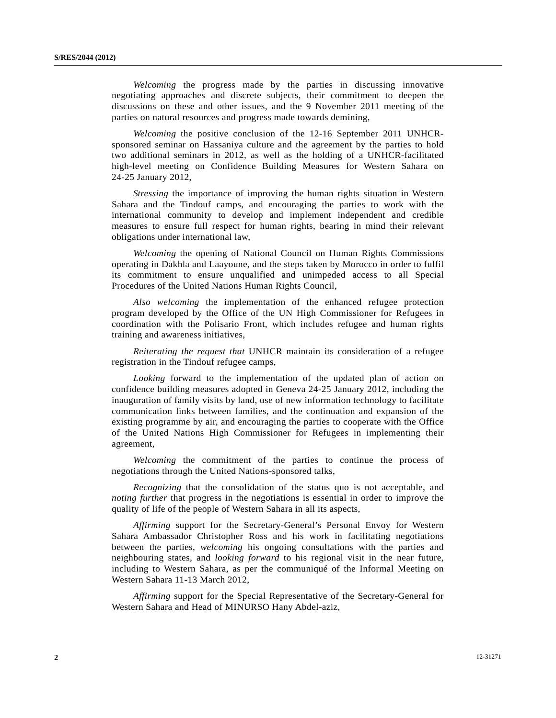*Welcoming* the progress made by the parties in discussing innovative negotiating approaches and discrete subjects, their commitment to deepen the discussions on these and other issues, and the 9 November 2011 meeting of the parties on natural resources and progress made towards demining,

*Welcoming* the positive conclusion of the 12-16 September 2011 UNHCRsponsored seminar on Hassaniya culture and the agreement by the parties to hold two additional seminars in 2012, as well as the holding of a UNHCR-facilitated high-level meeting on Confidence Building Measures for Western Sahara on 24-25 January 2012,

*Stressing* the importance of improving the human rights situation in Western Sahara and the Tindouf camps, and encouraging the parties to work with the international community to develop and implement independent and credible measures to ensure full respect for human rights, bearing in mind their relevant obligations under international law,

*Welcoming* the opening of National Council on Human Rights Commissions operating in Dakhla and Laayoune, and the steps taken by Morocco in order to fulfil its commitment to ensure unqualified and unimpeded access to all Special Procedures of the United Nations Human Rights Council,

*Also welcoming* the implementation of the enhanced refugee protection program developed by the Office of the UN High Commissioner for Refugees in coordination with the Polisario Front, which includes refugee and human rights training and awareness initiatives,

*Reiterating the request that* UNHCR maintain its consideration of a refugee registration in the Tindouf refugee camps,

*Looking* forward to the implementation of the updated plan of action on confidence building measures adopted in Geneva 24-25 January 2012, including the inauguration of family visits by land, use of new information technology to facilitate communication links between families, and the continuation and expansion of the existing programme by air, and encouraging the parties to cooperate with the Office of the United Nations High Commissioner for Refugees in implementing their agreement,

*Welcoming* the commitment of the parties to continue the process of negotiations through the United Nations-sponsored talks,

*Recognizing* that the consolidation of the status quo is not acceptable, and *noting further* that progress in the negotiations is essential in order to improve the quality of life of the people of Western Sahara in all its aspects,

*Affirming* support for the Secretary-General's Personal Envoy for Western Sahara Ambassador Christopher Ross and his work in facilitating negotiations between the parties, *welcoming* his ongoing consultations with the parties and neighbouring states, and *looking forward* to his regional visit in the near future, including to Western Sahara, as per the communiqué of the Informal Meeting on Western Sahara 11-13 March 2012,

*Affirming* support for the Special Representative of the Secretary-General for Western Sahara and Head of MINURSO Hany Abdel-aziz,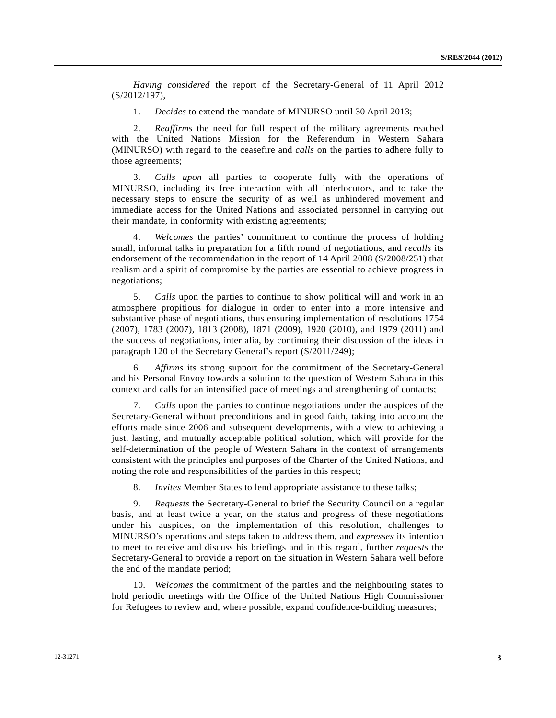*Having considered* the report of the Secretary-General of 11 April 2012 (S/2012/197),

1. *Decides* to extend the mandate of MINURSO until 30 April 2013;

 2. *Reaffirms* the need for full respect of the military agreements reached with the United Nations Mission for the Referendum in Western Sahara (MINURSO) with regard to the ceasefire and *calls* on the parties to adhere fully to those agreements;

 3. *Calls upon* all parties to cooperate fully with the operations of MINURSO, including its free interaction with all interlocutors, and to take the necessary steps to ensure the security of as well as unhindered movement and immediate access for the United Nations and associated personnel in carrying out their mandate, in conformity with existing agreements;

 4. *Welcomes* the parties' commitment to continue the process of holding small, informal talks in preparation for a fifth round of negotiations, and *recalls* its endorsement of the recommendation in the report of 14 April 2008 (S/2008/251) that realism and a spirit of compromise by the parties are essential to achieve progress in negotiations;

 5. *Calls* upon the parties to continue to show political will and work in an atmosphere propitious for dialogue in order to enter into a more intensive and substantive phase of negotiations, thus ensuring implementation of resolutions 1754 (2007), 1783 (2007), 1813 (2008), 1871 (2009), 1920 (2010), and 1979 (2011) and the success of negotiations, inter alia, by continuing their discussion of the ideas in paragraph 120 of the Secretary General's report (S/2011/249);

 6. *Affirms* its strong support for the commitment of the Secretary-General and his Personal Envoy towards a solution to the question of Western Sahara in this context and calls for an intensified pace of meetings and strengthening of contacts;

 7. *Calls* upon the parties to continue negotiations under the auspices of the Secretary-General without preconditions and in good faith, taking into account the efforts made since 2006 and subsequent developments, with a view to achieving a just, lasting, and mutually acceptable political solution, which will provide for the self-determination of the people of Western Sahara in the context of arrangements consistent with the principles and purposes of the Charter of the United Nations, and noting the role and responsibilities of the parties in this respect;

8. *Invites* Member States to lend appropriate assistance to these talks;

 9. *Requests* the Secretary-General to brief the Security Council on a regular basis, and at least twice a year, on the status and progress of these negotiations under his auspices, on the implementation of this resolution, challenges to MINURSO's operations and steps taken to address them, and *expresses* its intention to meet to receive and discuss his briefings and in this regard, further *requests* the Secretary-General to provide a report on the situation in Western Sahara well before the end of the mandate period;

 10. *Welcomes* the commitment of the parties and the neighbouring states to hold periodic meetings with the Office of the United Nations High Commissioner for Refugees to review and, where possible, expand confidence-building measures;